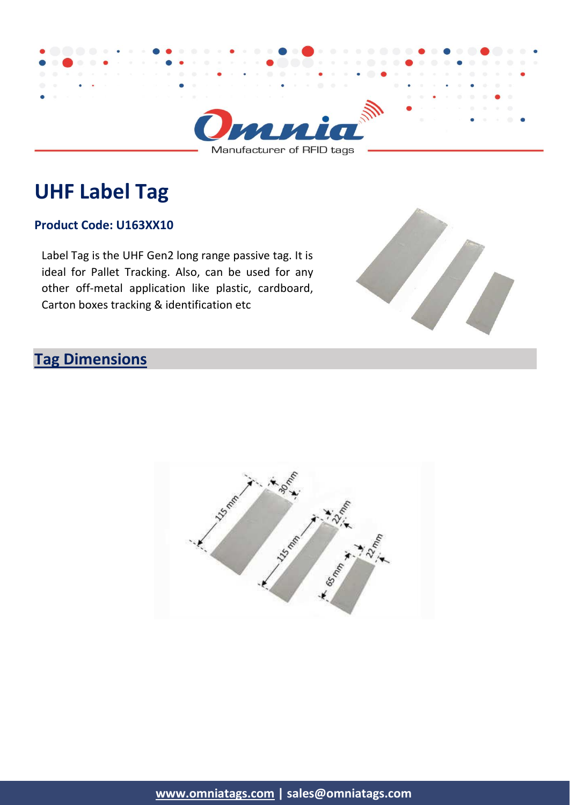

Manufacturer of RFID tags

# **UHF Label Tag**

#### **Product Code: U163XX10**

Label Tag is the UHF Gen2 long range passive tag. It is ideal for Pallet Tracking. Also, can be used for any other off-metal application like plastic, cardboard, Carton boxes tracking & identification etc



### **Tag Dimensions**

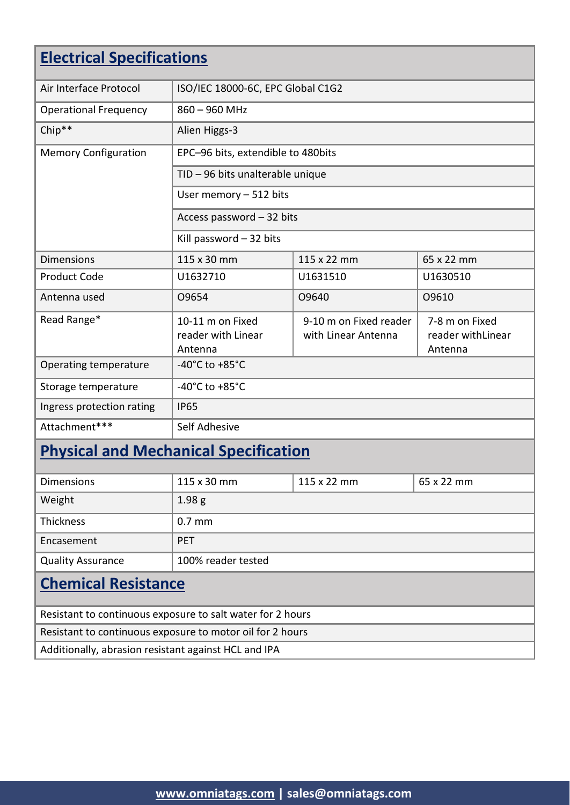| <b>Electrical Specifications</b> |                                                   |                                               |                                                 |  |
|----------------------------------|---------------------------------------------------|-----------------------------------------------|-------------------------------------------------|--|
| Air Interface Protocol           | ISO/IEC 18000-6C, EPC Global C1G2                 |                                               |                                                 |  |
| <b>Operational Frequency</b>     | $860 - 960$ MHz                                   |                                               |                                                 |  |
| Chip**                           | Alien Higgs-3                                     |                                               |                                                 |  |
| <b>Memory Configuration</b>      | EPC-96 bits, extendible to 480bits                |                                               |                                                 |  |
|                                  | TID - 96 bits unalterable unique                  |                                               |                                                 |  |
|                                  | User memory $-512$ bits                           |                                               |                                                 |  |
|                                  | Access password - 32 bits                         |                                               |                                                 |  |
|                                  | Kill password - 32 bits                           |                                               |                                                 |  |
| <b>Dimensions</b>                | 115 x 30 mm                                       | 115 x 22 mm                                   | 65 x 22 mm                                      |  |
| <b>Product Code</b>              | U1632710                                          | U1631510                                      | U1630510                                        |  |
| Antenna used                     | 09654                                             | O9640                                         | 09610                                           |  |
| Read Range*                      | 10-11 m on Fixed<br>reader with Linear<br>Antenna | 9-10 m on Fixed reader<br>with Linear Antenna | 7-8 m on Fixed<br>reader with Linear<br>Antenna |  |
| Operating temperature            | -40 $^{\circ}$ C to +85 $^{\circ}$ C              |                                               |                                                 |  |
| Storage temperature              | -40 $^{\circ}$ C to +85 $^{\circ}$ C              |                                               |                                                 |  |
| Ingress protection rating        | <b>IP65</b>                                       |                                               |                                                 |  |
| Attachment***                    | Self Adhesive                                     |                                               |                                                 |  |

# **Physical and Mechanical Specification**

| <b>Dimensions</b>          | 115 x 30 mm        | 115 x 22 mm | 65 x 22 mm |
|----------------------------|--------------------|-------------|------------|
| Weight                     | 1.98 <sub>g</sub>  |             |            |
| <b>Thickness</b>           | $0.7$ mm           |             |            |
| Encasement                 | <b>PET</b>         |             |            |
| <b>Quality Assurance</b>   | 100% reader tested |             |            |
| <b>Chemical Resistance</b> |                    |             |            |

Resistant to continuous exposure to salt water for 2 hours

Resistant to continuous exposure to motor oil for 2 hours

Additionally, abrasion resistant against HCL and IPA